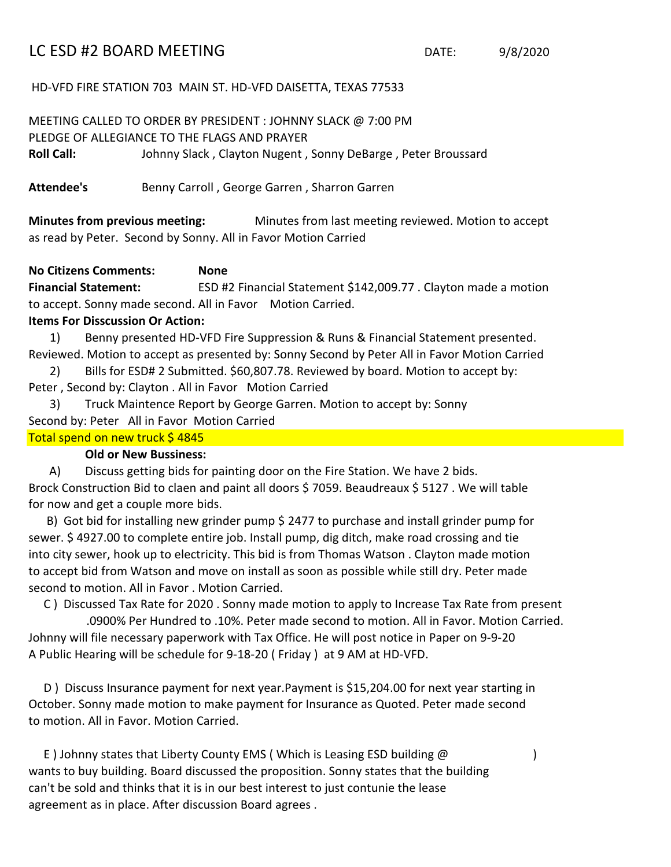## LC ESD #2 BOARD MEETING DATE: 9/8/2020

HD-VFD FIRE STATION 703 MAIN ST. HD-VFD DAISETTA, TEXAS 77533

MEETING CALLED TO ORDER BY PRESIDENT : JOHNNY SLACK @ 7:00 PM PLEDGE OF ALLEGIANCE TO THE FLAGS AND PRAYER **Roll Call:** Johnny Slack , Clayton Nugent , Sonny DeBarge , Peter Broussard

Attendee's **Benny Carroll**, George Garren, Sharron Garren

**Minutes from previous meeting:** Minutes from last meeting reviewed. Motion to accept as read by Peter. Second by Sonny. All in Favor Motion Carried

## **No Citizens Comments: None**

**Financial Statement:** ESD #2 Financial Statement \$142,009.77 . Clayton made a motion to accept. Sonny made second. All in Favor Motion Carried.

## **Items For Disscussion Or Action:**

- 1) Benny presented HD-VFD Fire Suppression & Runs & Financial Statement presented. Reviewed. Motion to accept as presented by: Sonny Second by Peter All in Favor Motion Carried
- 2) Bills for ESD# 2 Submitted. \$60,807.78. Reviewed by board. Motion to accept by: Peter , Second by: Clayton . All in Favor Motion Carried
- 3) Truck Maintence Report by George Garren. Motion to accept by: Sonny Second by: Peter All in Favor Motion Carried Total spend on new truck \$4845

## **Old or New Bussiness:**

A) Discuss getting bids for painting door on the Fire Station. We have 2 bids. Brock Construction Bid to claen and paint all doors \$7059. Beaudreaux \$5127. We will table for now and get a couple more bids.

B) Got bid for installing new grinder pump \$ 2477 to purchase and install grinder pump for sewer. \$ 4927.00 to complete entire job. Install pump, dig ditch, make road crossing and tie into city sewer, hook up to electricity. This bid is from Thomas Watson . Clayton made motion to accept bid from Watson and move on install as soon as possible while still dry. Peter made second to motion. All in Favor . Motion Carried.

 C ) Discussed Tax Rate for 2020 . Sonny made motion to apply to Increase Tax Rate from present .0900% Per Hundred to .10%. Peter made second to motion. All in Favor. Motion Carried. Johnny will file necessary paperwork with Tax Office. He will post notice in Paper on 9-9-20 A Public Hearing will be schedule for 9-18-20 ( Friday ) at 9 AM at HD-VFD.

to motion. All in Favor. Motion Carried. October. Sonny made motion to make payment for Insurance as Quoted. Peter made second D ) Discuss Insurance payment for next year.Payment is \$15,204.00 for next year starting in

agreement as in place. After discussion Board agrees . can't be sold and thinks that it is in our best interest to just contunie the lease E ) Johnny states that Liberty County EMS ( Which is Leasing ESD building @ ) wants to buy building. Board discussed the proposition. Sonny states that the building